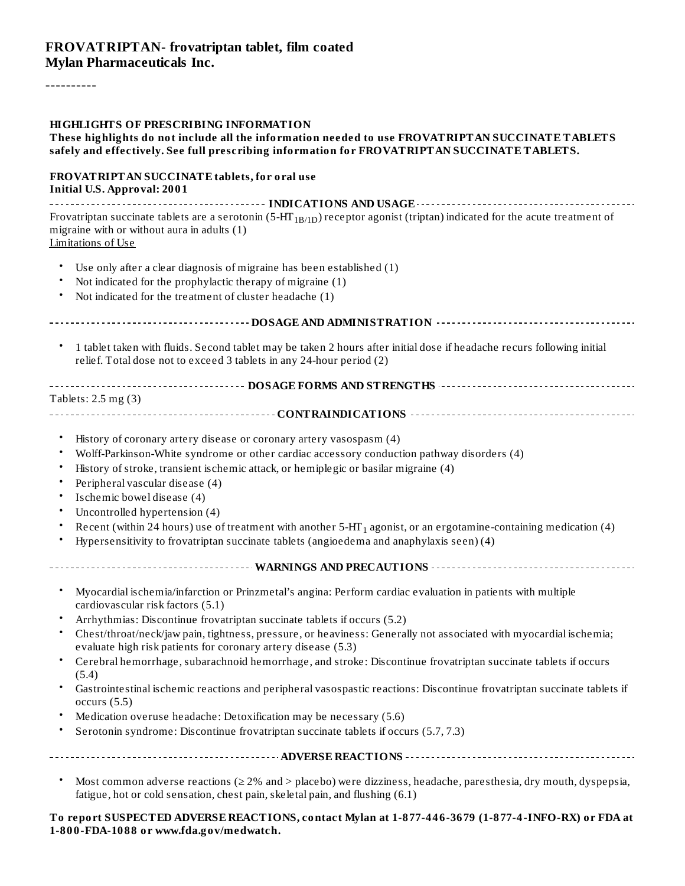#### **FROVATRIPTAN- frovatriptan tablet, film coated Mylan Pharmaceuticals Inc.**

----------

#### **HIGHLIGHTS OF PRESCRIBING INFORMATION**

#### **These highlights do not include all the information needed to use FROVATRIPTAN SUCCINATE TABLETS safely and effectively. See full prescribing information for FROVATRIPTAN SUCCINATE TABLETS.**

#### **FROVATRIPTAN SUCCINATE tablets, for oral use Initial U.S. Approval: 2001**

**INDICATIONS AND USAGE** Frovatriptan succinate tablets are a serotonin (5-HT $_{\rm 1B/1D}$ ) receptor agonist (triptan) indicated for the acute treatment of migraine with or without aura in adults (1) Limitations of Use

- Use only after a clear diagnosis of migraine has been established (1)
- Not indicated for the prophylactic therapy of migraine (1)
- Not indicated for the treatment of cluster headache (1)

|--|--|--|

• 1 tablet taken with fluids. Second tablet may be taken 2 hours after initial dose if headache recurs following initial relief. Total dose not to exceed 3 tablets in any 24-hour period (2)

| Tablets: $2.5 \text{ mg} (3)$ |
|-------------------------------|
|                               |

- History of coronary artery disease or coronary artery vasospasm (4)
- Wolff-Parkinson-White syndrome or other cardiac accessory conduction pathway disorders (4)
- History of stroke, transient ischemic attack, or hemiplegic or basilar migraine (4)
- Peripheral vascular disease (4)
- Ischemic bowel disease (4)
- Uncontrolled hypertension (4)
- Recent (within 24 hours) use of treatment with another  $5-HT_1$  agonist, or an ergotamine-containing medication (4)
- Hypersensitivity to frovatriptan succinate tablets (angioedema and anaphylaxis seen) (4)
- **WARNINGS AND PRECAUTIONS**
	- Myocardial ischemia/infarction or Prinzmetal's angina: Perform cardiac evaluation in patients with multiple cardiovascular risk factors (5.1)
	- Arrhythmias: Discontinue frovatriptan succinate tablets if occurs (5.2)
	- Chest/throat/neck/jaw pain, tightness, pressure, or heaviness: Generally not associated with myocardial ischemia; evaluate high risk patients for coronary artery disease (5.3)
	- Cerebral hemorrhage, subarachnoid hemorrhage, and stroke: Discontinue frovatriptan succinate tablets if occurs (5.4)
	- Gastrointestinal ischemic reactions and peripheral vasospastic reactions: Discontinue frovatriptan succinate tablets if occurs (5.5)
	- Medication overuse headache: Detoxification may be necessary (5.6)
	- Serotonin syndrome: Discontinue frovatriptan succinate tablets if occurs (5.7, 7.3)

**ADVERSE REACTIONS**

• Most common adverse reactions ( $\geq 2\%$  and  $>$  placebo) were dizziness, headache, paresthesia, dry mouth, dyspepsia, fatigue, hot or cold sensation, chest pain, skeletal pain, and flushing (6.1)

#### **To report SUSPECTED ADVERSE REACTIONS, contact Mylan at 1-877-446-3679 (1-877-4-INFO-RX) or FDA at 1-800-FDA-1088 or www.fda.gov/medwatch.**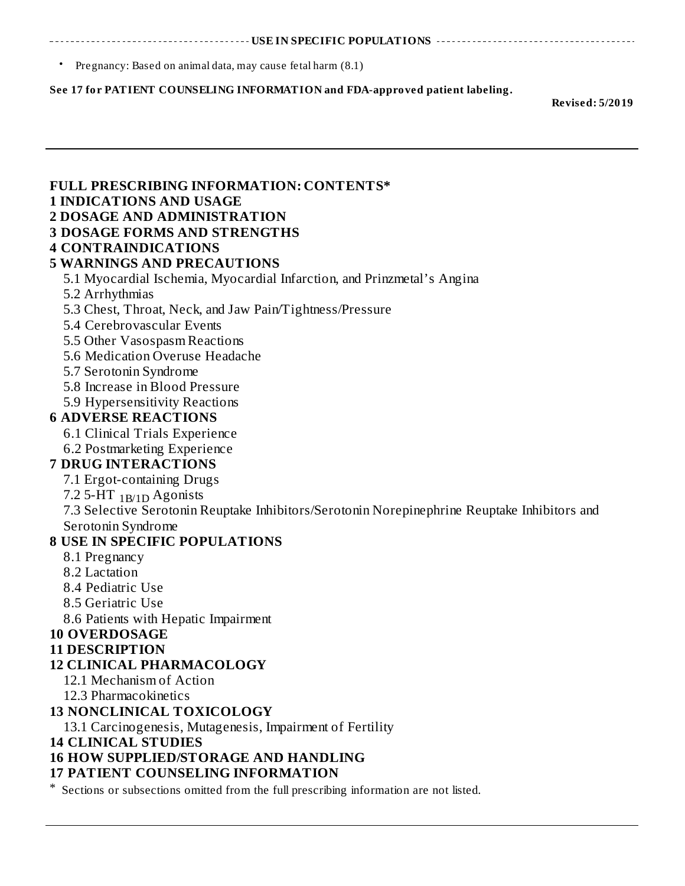**USE IN SPECIFIC POPULATIONS**

• Pregnancy: Based on animal data, may cause fetal harm (8.1)

#### **See 17 for PATIENT COUNSELING INFORMATION and FDA-approved patient labeling.**

**Revised: 5/2019**

#### **FULL PRESCRIBING INFORMATION: CONTENTS\***

#### **1 INDICATIONS AND USAGE**

#### **2 DOSAGE AND ADMINISTRATION**

#### **3 DOSAGE FORMS AND STRENGTHS**

#### **4 CONTRAINDICATIONS**

#### **5 WARNINGS AND PRECAUTIONS**

5.1 Myocardial Ischemia, Myocardial Infarction, and Prinzmetal's Angina

- 5.2 Arrhythmias
- 5.3 Chest, Throat, Neck, and Jaw Pain/Tightness/Pressure
- 5.4 Cerebrovascular Events
- 5.5 Other Vasospasm Reactions
- 5.6 Medication Overuse Headache
- 5.7 Serotonin Syndrome
- 5.8 Increase in Blood Pressure
- 5.9 Hypersensitivity Reactions

#### **6 ADVERSE REACTIONS**

- 6.1 Clinical Trials Experience
- 6.2 Postmarketing Experience

#### **7 DRUG INTERACTIONS**

- 7.1 Ergot-containing Drugs
- 7.2 5-HT  $_{1B/1D}$  Agonists
- 7.3 Selective Serotonin Reuptake Inhibitors/Serotonin Norepinephrine Reuptake Inhibitors and Serotonin Syndrome

#### **8 USE IN SPECIFIC POPULATIONS**

- 8.1 Pregnancy
- 8.2 Lactation
- 8.4 Pediatric Use
- 8.5 Geriatric Use
- 8.6 Patients with Hepatic Impairment

#### **10 OVERDOSAGE**

#### **11 DESCRIPTION**

#### **12 CLINICAL PHARMACOLOGY**

- 12.1 Mechanism of Action
- 12.3 Pharmacokinetics

#### **13 NONCLINICAL TOXICOLOGY**

13.1 Carcinogenesis, Mutagenesis, Impairment of Fertility

#### **14 CLINICAL STUDIES**

#### **16 HOW SUPPLIED/STORAGE AND HANDLING**

#### **17 PATIENT COUNSELING INFORMATION**

\* Sections or subsections omitted from the full prescribing information are not listed.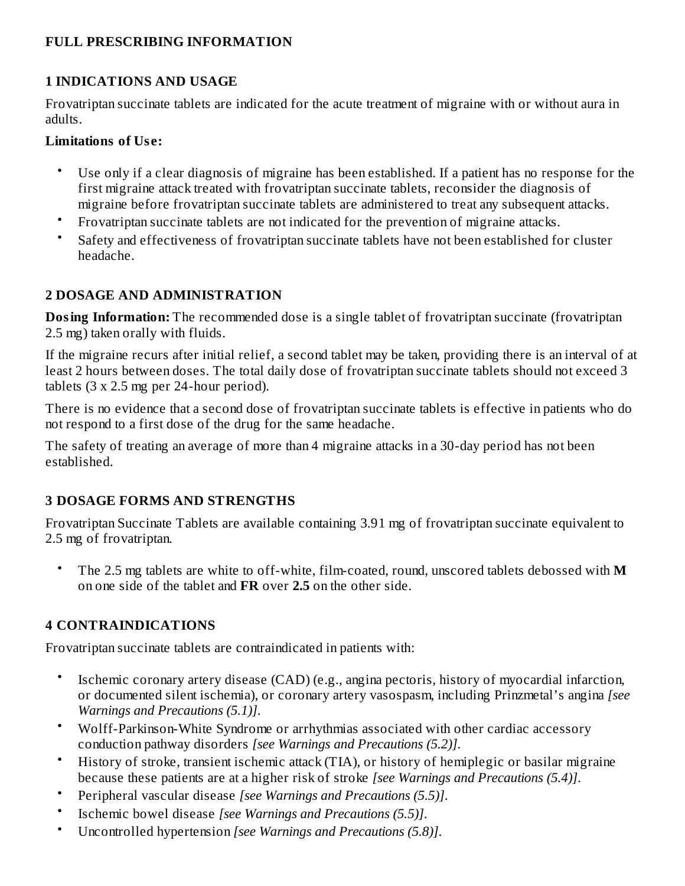#### **FULL PRESCRIBING INFORMATION**

#### **1 INDICATIONS AND USAGE**

Frovatriptan succinate tablets are indicated for the acute treatment of migraine with or without aura in adults.

#### **Limitations of Us e:**

- Use only if a clear diagnosis of migraine has been established. If a patient has no response for the first migraine attack treated with frovatriptan succinate tablets, reconsider the diagnosis of migraine before frovatriptan succinate tablets are administered to treat any subsequent attacks.
- Frovatriptan succinate tablets are not indicated for the prevention of migraine attacks.
- Safety and effectiveness of frovatriptan succinate tablets have not been established for cluster headache.

#### **2 DOSAGE AND ADMINISTRATION**

**Dosing Information:** The recommended dose is a single tablet of frovatriptan succinate (frovatriptan 2.5 mg) taken orally with fluids.

If the migraine recurs after initial relief, a second tablet may be taken, providing there is an interval of at least 2 hours between doses. The total daily dose of frovatriptan succinate tablets should not exceed 3 tablets (3 x 2.5 mg per 24-hour period).

There is no evidence that a second dose of frovatriptan succinate tablets is effective in patients who do not respond to a first dose of the drug for the same headache.

The safety of treating an average of more than 4 migraine attacks in a 30-day period has not been established.

### **3 DOSAGE FORMS AND STRENGTHS**

Frovatriptan Succinate Tablets are available containing 3.91 mg of frovatriptan succinate equivalent to 2.5 mg of frovatriptan.

• The 2.5 mg tablets are white to off-white, film-coated, round, unscored tablets debossed with **M** on one side of the tablet and **FR** over **2.5** on the other side.

### **4 CONTRAINDICATIONS**

Frovatriptan succinate tablets are contraindicated in patients with:

- Ischemic coronary artery disease (CAD) (e.g., angina pectoris, history of myocardial infarction, or documented silent ischemia), or coronary artery vasospasm, including Prinzmetal's angina *[see Warnings and Precautions (5.1)]*.
- Wolff-Parkinson-White Syndrome or arrhythmias associated with other cardiac accessory conduction pathway disorders *[see Warnings and Precautions (5.2)]*.
- History of stroke, transient ischemic attack (TIA), or history of hemiplegic or basilar migraine because these patients are at a higher risk of stroke *[see Warnings and Precautions (5.4)]*.
- Peripheral vascular disease *[see Warnings and Precautions (5.5)]*.
- Ischemic bowel disease *[see Warnings and Precautions (5.5)]*.
- Uncontrolled hypertension *[see Warnings and Precautions (5.8)]*.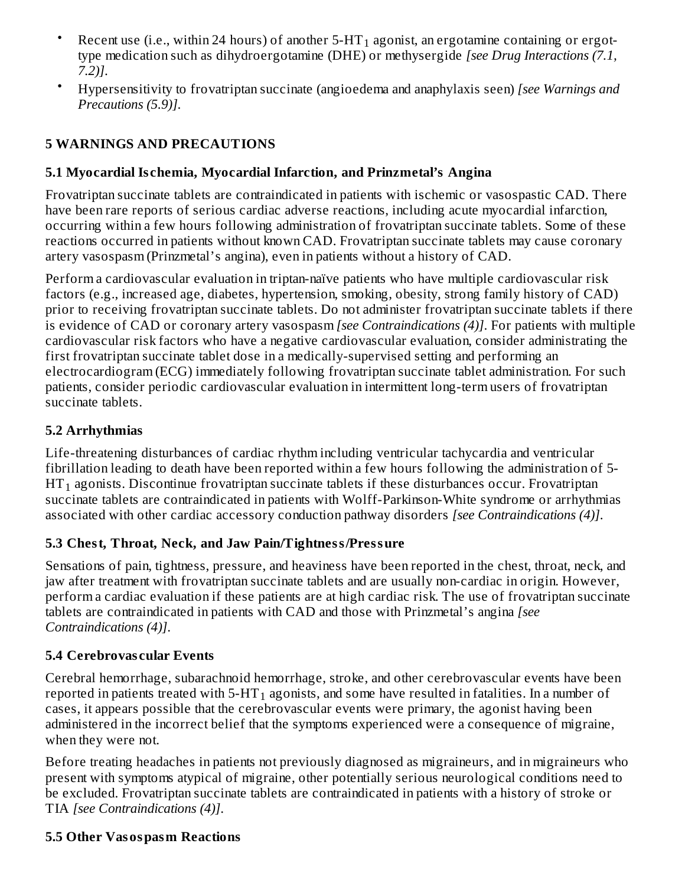- Recent use (i.e., within 24 hours) of another 5-HT $_{\rm 1}$  agonist, an ergotamine containing or ergottype medication such as dihydroergotamine (DHE) or methysergide *[see Drug Interactions (7.1, 7.2)]*.
- Hypersensitivity to frovatriptan succinate (angioedema and anaphylaxis seen) *[see Warnings and Precautions (5.9)]*.

## **5 WARNINGS AND PRECAUTIONS**

## **5.1 Myocardial Is chemia, Myocardial Infarction, and Prinzmetal's Angina**

Frovatriptan succinate tablets are contraindicated in patients with ischemic or vasospastic CAD. There have been rare reports of serious cardiac adverse reactions, including acute myocardial infarction, occurring within a few hours following administration of frovatriptan succinate tablets. Some of these reactions occurred in patients without known CAD. Frovatriptan succinate tablets may cause coronary artery vasospasm (Prinzmetal's angina), even in patients without a history of CAD.

Perform a cardiovascular evaluation in triptan-naïve patients who have multiple cardiovascular risk factors (e.g., increased age, diabetes, hypertension, smoking, obesity, strong family history of CAD) prior to receiving frovatriptan succinate tablets. Do not administer frovatriptan succinate tablets if there is evidence of CAD or coronary artery vasospasm *[see Contraindications (4)]*. For patients with multiple cardiovascular risk factors who have a negative cardiovascular evaluation, consider administrating the first frovatriptan succinate tablet dose in a medically-supervised setting and performing an electrocardiogram (ECG) immediately following frovatriptan succinate tablet administration. For such patients, consider periodic cardiovascular evaluation in intermittent long-term users of frovatriptan succinate tablets.

## **5.2 Arrhythmias**

Life-threatening disturbances of cardiac rhythm including ventricular tachycardia and ventricular fibrillation leading to death have been reported within a few hours following the administration of 5-  $\operatorname{HT}_1$  agonists. Discontinue frovatriptan succinate tablets if these disturbances occur. Frovatriptan succinate tablets are contraindicated in patients with Wolff-Parkinson-White syndrome or arrhythmias associated with other cardiac accessory conduction pathway disorders *[see Contraindications (4)]*.

## **5.3 Chest, Throat, Neck, and Jaw Pain/Tightness/Pressure**

Sensations of pain, tightness, pressure, and heaviness have been reported in the chest, throat, neck, and jaw after treatment with frovatriptan succinate tablets and are usually non-cardiac in origin. However, perform a cardiac evaluation if these patients are at high cardiac risk. The use of frovatriptan succinate tablets are contraindicated in patients with CAD and those with Prinzmetal's angina *[see Contraindications (4)]*.

## **5.4 Cerebrovas cular Events**

Cerebral hemorrhage, subarachnoid hemorrhage, stroke, and other cerebrovascular events have been reported in patients treated with 5-HT $_{\rm 1}$  agonists, and some have resulted in fatalities. In a number of cases, it appears possible that the cerebrovascular events were primary, the agonist having been administered in the incorrect belief that the symptoms experienced were a consequence of migraine, when they were not.

Before treating headaches in patients not previously diagnosed as migraineurs, and in migraineurs who present with symptoms atypical of migraine, other potentially serious neurological conditions need to be excluded. Frovatriptan succinate tablets are contraindicated in patients with a history of stroke or TIA *[see Contraindications (4)]*.

## **5.5 Other Vasospasm Reactions**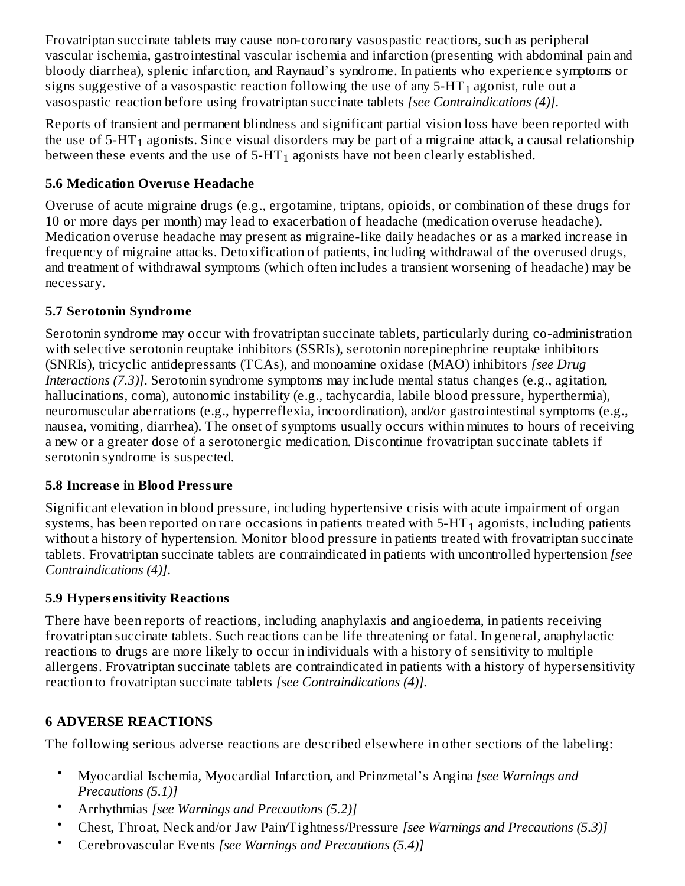Frovatriptan succinate tablets may cause non-coronary vasospastic reactions, such as peripheral vascular ischemia, gastrointestinal vascular ischemia and infarction (presenting with abdominal pain and bloody diarrhea), splenic infarction, and Raynaud's syndrome. In patients who experience symptoms or signs suggestive of a vasospastic reaction following the use of any 5-HT $_{\rm 1}$  agonist, rule out a vasospastic reaction before using frovatriptan succinate tablets *[see Contraindications (4)]*.

Reports of transient and permanent blindness and significant partial vision loss have been reported with the use of 5-HT $_{\rm 1}$  agonists. Since visual disorders may be part of a migraine attack, a causal relationship between these events and the use of 5-HT $_{\rm 1}$  agonists have not been clearly established.

### **5.6 Medication Overus e Headache**

Overuse of acute migraine drugs (e.g., ergotamine, triptans, opioids, or combination of these drugs for 10 or more days per month) may lead to exacerbation of headache (medication overuse headache). Medication overuse headache may present as migraine-like daily headaches or as a marked increase in frequency of migraine attacks. Detoxification of patients, including withdrawal of the overused drugs, and treatment of withdrawal symptoms (which often includes a transient worsening of headache) may be necessary.

### **5.7 Serotonin Syndrome**

Serotonin syndrome may occur with frovatriptan succinate tablets, particularly during co-administration with selective serotonin reuptake inhibitors (SSRIs), serotonin norepinephrine reuptake inhibitors (SNRIs), tricyclic antidepressants (TCAs), and monoamine oxidase (MAO) inhibitors *[see Drug Interactions (7.3)]*. Serotonin syndrome symptoms may include mental status changes (e.g., agitation, hallucinations, coma), autonomic instability (e.g., tachycardia, labile blood pressure, hyperthermia), neuromuscular aberrations (e.g., hyperreflexia, incoordination), and/or gastrointestinal symptoms (e.g., nausea, vomiting, diarrhea). The onset of symptoms usually occurs within minutes to hours of receiving a new or a greater dose of a serotonergic medication. Discontinue frovatriptan succinate tablets if serotonin syndrome is suspected.

## **5.8 Increas e in Blood Pressure**

Significant elevation in blood pressure, including hypertensive crisis with acute impairment of organ systems, has been reported on rare occasions in patients treated with 5-HT $_{\rm 1}$  agonists, including patients without a history of hypertension. Monitor blood pressure in patients treated with frovatriptan succinate tablets. Frovatriptan succinate tablets are contraindicated in patients with uncontrolled hypertension *[see Contraindications (4)]*.

## **5.9 Hypers ensitivity Reactions**

There have been reports of reactions, including anaphylaxis and angioedema, in patients receiving frovatriptan succinate tablets. Such reactions can be life threatening or fatal. In general, anaphylactic reactions to drugs are more likely to occur in individuals with a history of sensitivity to multiple allergens. Frovatriptan succinate tablets are contraindicated in patients with a history of hypersensitivity reaction to frovatriptan succinate tablets *[see Contraindications (4)].*

## **6 ADVERSE REACTIONS**

The following serious adverse reactions are described elsewhere in other sections of the labeling:

- Myocardial Ischemia, Myocardial Infarction, and Prinzmetal's Angina *[see Warnings and Precautions (5.1)]*
- Arrhythmias *[see Warnings and Precautions (5.2)]*
- Chest, Throat, Neck and/or Jaw Pain/Tightness/Pressure *[see Warnings and Precautions (5.3)]*
- Cerebrovascular Events *[see Warnings and Precautions (5.4)]*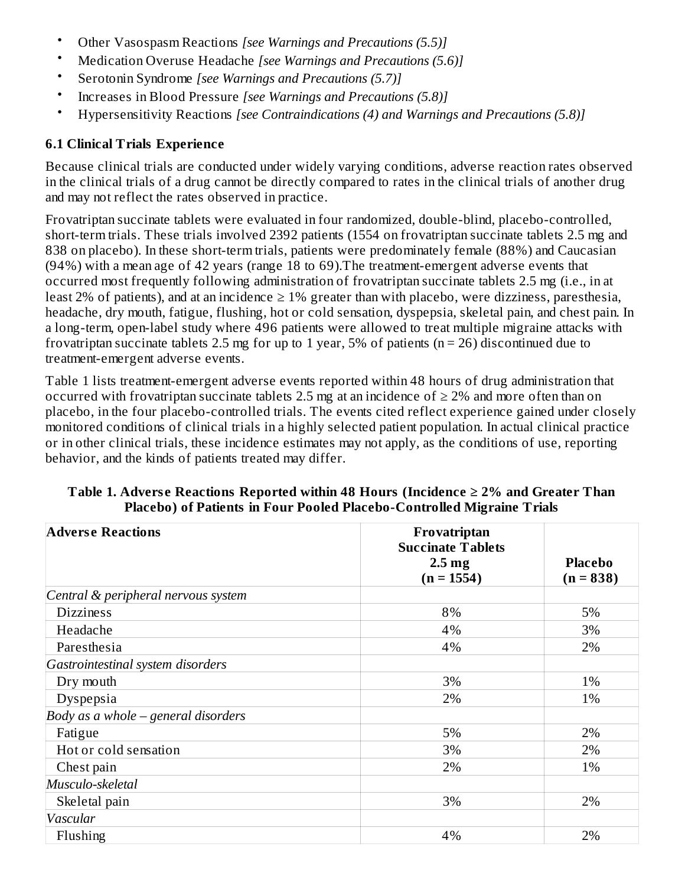- Other Vasospasm Reactions *[see Warnings and Precautions (5.5)]*
- Medication Overuse Headache *[see Warnings and Precautions (5.6)]*
- Serotonin Syndrome *[see Warnings and Precautions (5.7)]*
- Increases in Blood Pressure *[see Warnings and Precautions (5.8)]*
- Hypersensitivity Reactions *[see Contraindications (4) and Warnings and Precautions (5.8)]*

#### **6.1 Clinical Trials Experience**

Because clinical trials are conducted under widely varying conditions, adverse reaction rates observed in the clinical trials of a drug cannot be directly compared to rates in the clinical trials of another drug and may not reflect the rates observed in practice.

Frovatriptan succinate tablets were evaluated in four randomized, double-blind, placebo-controlled, short-term trials. These trials involved 2392 patients (1554 on frovatriptan succinate tablets 2.5 mg and 838 on placebo). In these short-term trials, patients were predominately female (88%) and Caucasian (94%) with a mean age of 42 years (range 18 to 69).The treatment-emergent adverse events that occurred most frequently following administration of frovatriptan succinate tablets 2.5 mg (i.e., in at least 2% of patients), and at an incidence  $\geq$  1% greater than with placebo, were dizziness, paresthesia, headache, dry mouth, fatigue, flushing, hot or cold sensation, dyspepsia, skeletal pain, and chest pain. In a long-term, open-label study where 496 patients were allowed to treat multiple migraine attacks with frovatriptan succinate tablets 2.5 mg for up to 1 year, 5% of patients ( $n = 26$ ) discontinued due to treatment-emergent adverse events.

Table 1 lists treatment-emergent adverse events reported within 48 hours of drug administration that occurred with frovatriptan succinate tablets 2.5 mg at an incidence of  $\geq$  2% and more often than on placebo, in the four placebo-controlled trials. The events cited reflect experience gained under closely monitored conditions of clinical trials in a highly selected patient population. In actual clinical practice or in other clinical trials, these incidence estimates may not apply, as the conditions of use, reporting behavior, and the kinds of patients treated may differ.

| <b>Adverse Reactions</b>            | Frovatriptan             |                |
|-------------------------------------|--------------------------|----------------|
|                                     | <b>Succinate Tablets</b> |                |
|                                     | 2.5 <sub>mg</sub>        | <b>Placebo</b> |
|                                     | $(n = 1554)$             | $(n = 838)$    |
| Central & peripheral nervous system |                          |                |
| <b>Dizziness</b>                    | 8%                       | 5%             |
| Headache                            | 4%                       | 3%             |
| Paresthesia                         | 4%                       | 2%             |
| Gastrointestinal system disorders   |                          |                |
| Dry mouth                           | 3%                       | 1%             |
| Dyspepsia                           | 2%                       | 1%             |
| Body as a whole – general disorders |                          |                |
| Fatigue                             | 5%                       | 2%             |
| Hot or cold sensation               | 3%                       | 2%             |
| Chest pain                          | 2%                       | 1%             |
| Musculo-skeletal                    |                          |                |
| Skeletal pain                       | 3%                       | 2%             |
| Vascular                            |                          |                |
| Flushing                            | 4%                       | 2%             |

**Table 1. Advers e Reactions Reported within 48 Hours (Incidence ≥ 2% and Greater Than Placebo) of Patients in Four Pooled Placebo-Controlled Migraine Trials**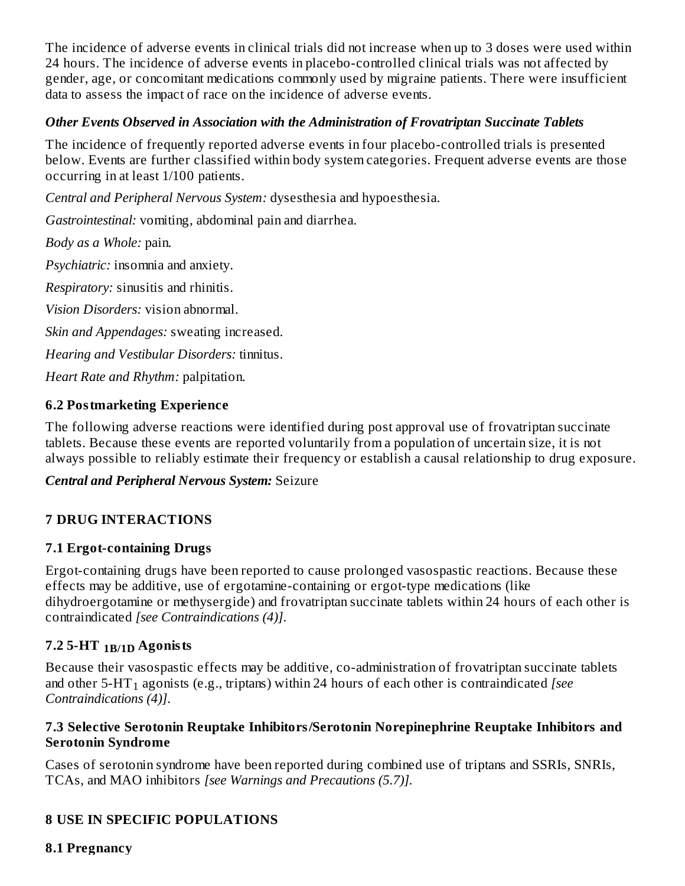The incidence of adverse events in clinical trials did not increase when up to 3 doses were used within 24 hours. The incidence of adverse events in placebo-controlled clinical trials was not affected by gender, age, or concomitant medications commonly used by migraine patients. There were insufficient data to assess the impact of race on the incidence of adverse events.

#### *Other Events Observed in Association with the Administration of Frovatriptan Succinate Tablets*

The incidence of frequently reported adverse events in four placebo-controlled trials is presented below. Events are further classified within body system categories. Frequent adverse events are those occurring in at least 1/100 patients.

*Central and Peripheral Nervous System:* dysesthesia and hypoesthesia.

*Gastrointestinal:* vomiting, abdominal pain and diarrhea.

*Body as a Whole:* pain.

*Psychiatric:* insomnia and anxiety.

*Respiratory:* sinusitis and rhinitis.

*Vision Disorders:* vision abnormal.

*Skin and Appendages:* sweating increased.

*Hearing and Vestibular Disorders:* tinnitus.

*Heart Rate and Rhythm:* palpitation.

#### **6.2 Postmarketing Experience**

The following adverse reactions were identified during post approval use of frovatriptan succinate tablets. Because these events are reported voluntarily from a population of uncertain size, it is not always possible to reliably estimate their frequency or establish a causal relationship to drug exposure.

#### *Central and Peripheral Nervous System:* Seizure

## **7 DRUG INTERACTIONS**

### **7.1 Ergot-containing Drugs**

Ergot-containing drugs have been reported to cause prolonged vasospastic reactions. Because these effects may be additive, use of ergotamine-containing or ergot-type medications (like dihydroergotamine or methysergide) and frovatriptan succinate tablets within 24 hours of each other is contraindicated *[see Contraindications (4)]*.

### **7.2 5-HT Agonists 1B/1D**

Because their vasospastic effects may be additive, co-administration of frovatriptan succinate tablets and other 5-HT agonists (e.g., triptans) within 24 hours of each other is contraindicated *[see* 1*Contraindications (4)]*.

#### **7.3 Selective Serotonin Reuptake Inhibitors/Serotonin Norepinephrine Reuptake Inhibitors and Serotonin Syndrome**

Cases of serotonin syndrome have been reported during combined use of triptans and SSRIs, SNRIs, TCAs, and MAO inhibitors *[see Warnings and Precautions (5.7)].*

## **8 USE IN SPECIFIC POPULATIONS**

#### **8.1 Pregnancy**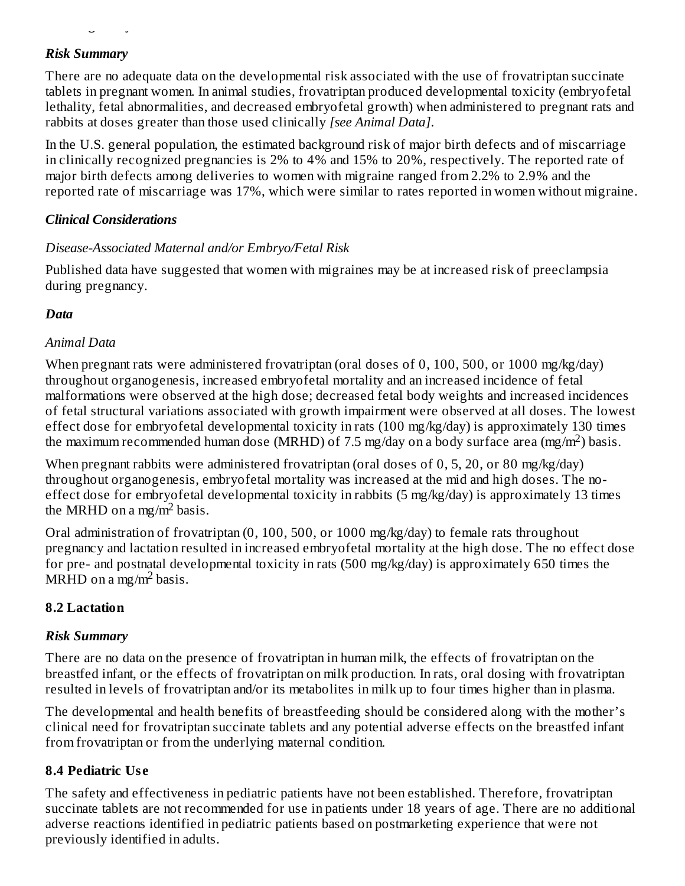#### *Risk Summary*

**8.1 Pregnancy**

There are no adequate data on the developmental risk associated with the use of frovatriptan succinate tablets in pregnant women. In animal studies, frovatriptan produced developmental toxicity (embryofetal lethality, fetal abnormalities, and decreased embryofetal growth) when administered to pregnant rats and rabbits at doses greater than those used clinically *[see Animal Data]*.

In the U.S. general population, the estimated background risk of major birth defects and of miscarriage in clinically recognized pregnancies is 2% to 4% and 15% to 20%, respectively. The reported rate of major birth defects among deliveries to women with migraine ranged from 2.2% to 2.9% and the reported rate of miscarriage was 17%, which were similar to rates reported in women without migraine.

#### *Clinical Considerations*

#### *Disease-Associated Maternal and/or Embryo/Fetal Risk*

Published data have suggested that women with migraines may be at increased risk of preeclampsia during pregnancy.

#### *Data*

#### *Animal Data*

When pregnant rats were administered frovatriptan (oral doses of 0, 100, 500, or 1000 mg/kg/day) throughout organogenesis, increased embryofetal mortality and an increased incidence of fetal malformations were observed at the high dose; decreased fetal body weights and increased incidences of fetal structural variations associated with growth impairment were observed at all doses. The lowest effect dose for embryofetal developmental toxicity in rats (100 mg/kg/day) is approximately 130 times the maximum recommended human dose (MRHD) of 7.5 mg/day on a body surface area (mg/m<sup>2</sup>) basis.

When pregnant rabbits were administered frovatriptan (oral doses of 0, 5, 20, or 80 mg/kg/day) throughout organogenesis, embryofetal mortality was increased at the mid and high doses. The noeffect dose for embryofetal developmental toxicity in rabbits (5 mg/kg/day) is approximately 13 times the MRHD on a mg/m<sup>2</sup> basis.

Oral administration of frovatriptan (0, 100, 500, or 1000 mg/kg/day) to female rats throughout pregnancy and lactation resulted in increased embryofetal mortality at the high dose. The no effect dose for pre- and postnatal developmental toxicity in rats (500 mg/kg/day) is approximately 650 times the  $MRHD$  on a mg/m<sup>2</sup> basis.

#### **8.2 Lactation**

#### *Risk Summary*

There are no data on the presence of frovatriptan in human milk, the effects of frovatriptan on the breastfed infant, or the effects of frovatriptan on milk production. In rats, oral dosing with frovatriptan resulted in levels of frovatriptan and/or its metabolites in milk up to four times higher than in plasma.

The developmental and health benefits of breastfeeding should be considered along with the mother's clinical need for frovatriptan succinate tablets and any potential adverse effects on the breastfed infant from frovatriptan or from the underlying maternal condition.

#### **8.4 Pediatric Us e**

The safety and effectiveness in pediatric patients have not been established. Therefore, frovatriptan succinate tablets are not recommended for use in patients under 18 years of age. There are no additional adverse reactions identified in pediatric patients based on postmarketing experience that were not previously identified in adults.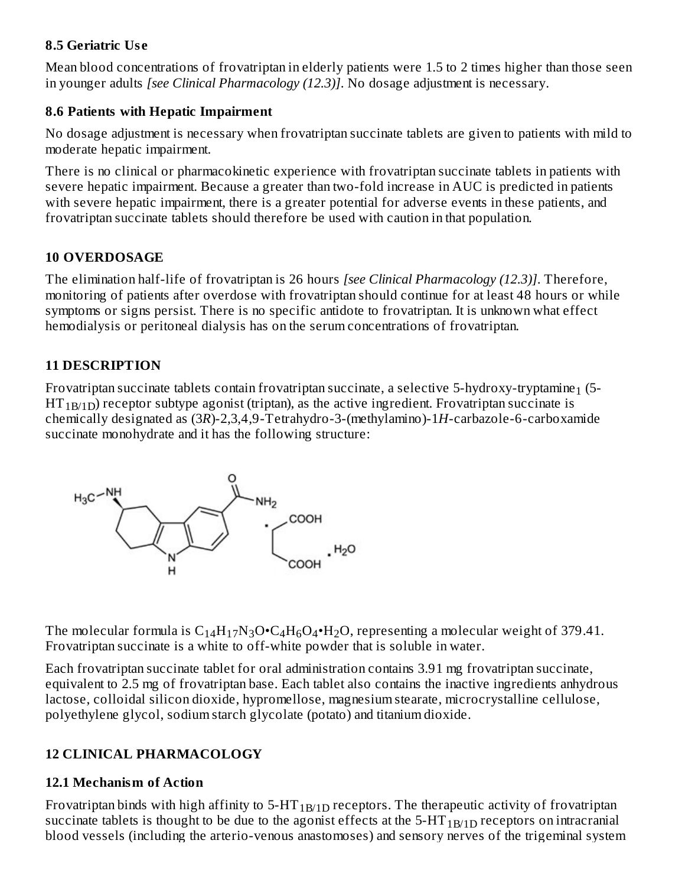#### **8.5 Geriatric Us e**

Mean blood concentrations of frovatriptan in elderly patients were 1.5 to 2 times higher than those seen in younger adults *[see Clinical Pharmacology (12.3)]*. No dosage adjustment is necessary.

### **8.6 Patients with Hepatic Impairment**

No dosage adjustment is necessary when frovatriptan succinate tablets are given to patients with mild to moderate hepatic impairment.

There is no clinical or pharmacokinetic experience with frovatriptan succinate tablets in patients with severe hepatic impairment. Because a greater than two-fold increase in AUC is predicted in patients with severe hepatic impairment, there is a greater potential for adverse events in these patients, and frovatriptan succinate tablets should therefore be used with caution in that population.

### **10 OVERDOSAGE**

The elimination half-life of frovatriptan is 26 hours *[see Clinical Pharmacology (12.3)]*. Therefore, monitoring of patients after overdose with frovatriptan should continue for at least 48 hours or while symptoms or signs persist. There is no specific antidote to frovatriptan. It is unknown what effect hemodialysis or peritoneal dialysis has on the serum concentrations of frovatriptan.

## **11 DESCRIPTION**

Frovatriptan succinate tablets contain frovatriptan succinate, a selective 5-hydroxy-tryptamine $_1$  (5-  $\,$  $\mathrm{HT_{1B/1D}}$ ) receptor subtype agonist (triptan), as the active ingredient. Frovatriptan succinate is chemically designated as (3*R*)-2,3,4,9-Tetrahydro-3-(methylamino)-1*H*-carbazole-6-carboxamide succinate monohydrate and it has the following structure:



The molecular formula is  $\rm C_{14}H_{17}N_{3}O\rm{\bullet} C_{4}H_{6}O_{4}\rm{\bullet} H_{2}O$ , representing a molecular weight of 379.41. Frovatriptan succinate is a white to off-white powder that is soluble in water.

Each frovatriptan succinate tablet for oral administration contains 3.91 mg frovatriptan succinate, equivalent to 2.5 mg of frovatriptan base. Each tablet also contains the inactive ingredients anhydrous lactose, colloidal silicon dioxide, hypromellose, magnesium stearate, microcrystalline cellulose, polyethylene glycol, sodium starch glycolate (potato) and titanium dioxide.

## **12 CLINICAL PHARMACOLOGY**

## **12.1 Mechanism of Action**

Frovatriptan binds with high affinity to 5-HT $_{\rm 1B/1D}$  receptors. The therapeutic activity of frovatriptan succinate tablets is thought to be due to the agonist effects at the 5-HT  $_{\rm 1B/1D}$  receptors on intracranial blood vessels (including the arterio-venous anastomoses) and sensory nerves of the trigeminal system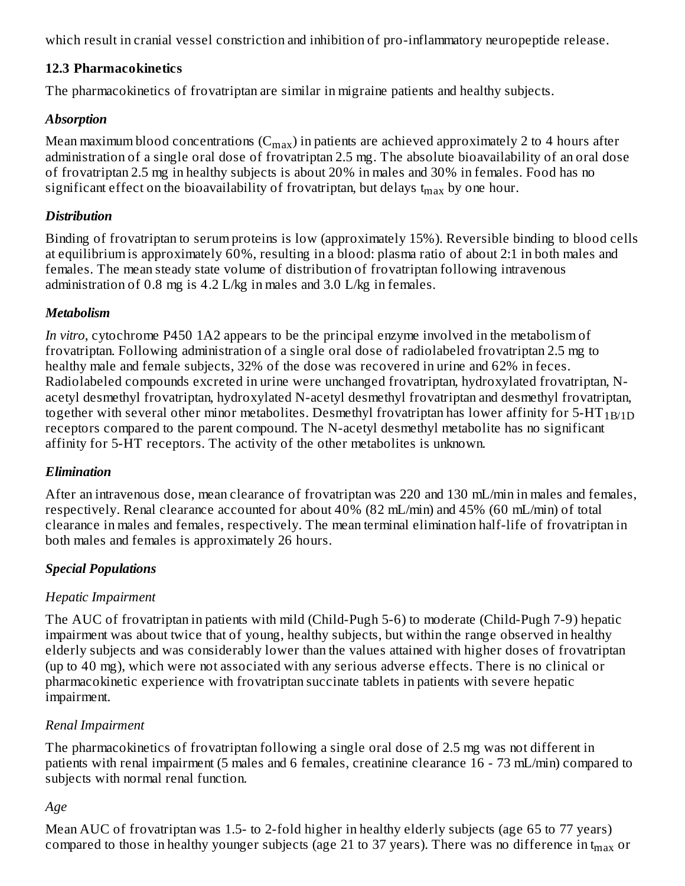which result in cranial vessel constriction and inhibition of pro-inflammatory neuropeptide release.

#### **12.3 Pharmacokinetics**

The pharmacokinetics of frovatriptan are similar in migraine patients and healthy subjects.

#### *Absorption*

Mean maximum blood concentrations  $(\mathrm{C_{max}})$  in patients are achieved approximately 2 to 4 hours after administration of a single oral dose of frovatriptan 2.5 mg. The absolute bioavailability of an oral dose of frovatriptan 2.5 mg in healthy subjects is about 20% in males and 30% in females. Food has no significant effect on the bioavailability of frovatriptan, but delays  ${\rm t_{max}}$  by one hour.

### *Distribution*

Binding of frovatriptan to serum proteins is low (approximately 15%). Reversible binding to blood cells at equilibrium is approximately 60%, resulting in a blood: plasma ratio of about 2:1 in both males and females. The mean steady state volume of distribution of frovatriptan following intravenous administration of 0.8 mg is 4.2 L/kg in males and 3.0 L/kg in females.

### *Metabolism*

*In vitro*, cytochrome P450 1A2 appears to be the principal enzyme involved in the metabolism of frovatriptan. Following administration of a single oral dose of radiolabeled frovatriptan 2.5 mg to healthy male and female subjects, 32% of the dose was recovered in urine and 62% in feces. Radiolabeled compounds excreted in urine were unchanged frovatriptan, hydroxylated frovatriptan, Nacetyl desmethyl frovatriptan, hydroxylated N-acetyl desmethyl frovatriptan and desmethyl frovatriptan, together with several other minor metabolites. Desmethyl frovatriptan has lower affinity for 5-HT  $_{\rm 1B/1D}$ receptors compared to the parent compound. The N-acetyl desmethyl metabolite has no significant affinity for 5-HT receptors. The activity of the other metabolites is unknown.

#### *Elimination*

After an intravenous dose, mean clearance of frovatriptan was 220 and 130 mL/min in males and females, respectively. Renal clearance accounted for about 40% (82 mL/min) and 45% (60 mL/min) of total clearance in males and females, respectively. The mean terminal elimination half-life of frovatriptan in both males and females is approximately 26 hours.

### *Special Populations*

### *Hepatic Impairment*

The AUC of frovatriptan in patients with mild (Child-Pugh 5-6) to moderate (Child-Pugh 7-9) hepatic impairment was about twice that of young, healthy subjects, but within the range observed in healthy elderly subjects and was considerably lower than the values attained with higher doses of frovatriptan (up to 40 mg), which were not associated with any serious adverse effects. There is no clinical or pharmacokinetic experience with frovatriptan succinate tablets in patients with severe hepatic impairment.

### *Renal Impairment*

The pharmacokinetics of frovatriptan following a single oral dose of 2.5 mg was not different in patients with renal impairment (5 males and 6 females, creatinine clearance 16 - 73 mL/min) compared to subjects with normal renal function.

### *Age*

Mean AUC of frovatriptan was 1.5- to 2-fold higher in healthy elderly subjects (age 65 to 77 years) compared to those in healthy younger subjects (age 21 to 37 years). There was no difference in t $_{\rm max}$  or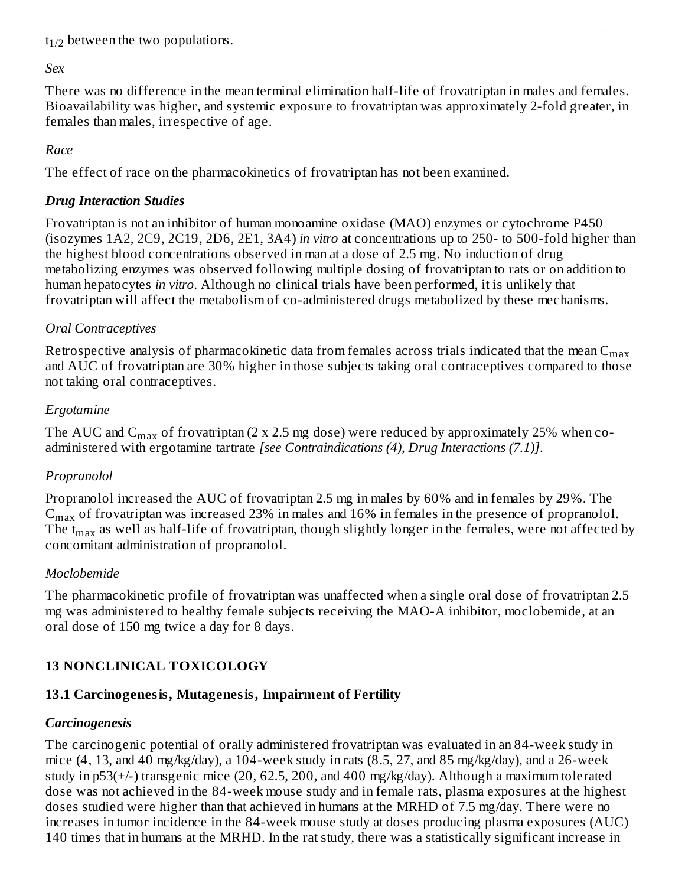$t_{1/2}$  between the two populations.

*Sex*

There was no difference in the mean terminal elimination half-life of frovatriptan in males and females. Bioavailability was higher, and systemic exposure to frovatriptan was approximately 2-fold greater, in females than males, irrespective of age.

...<sub>...</sub>.

#### *Race*

The effect of race on the pharmacokinetics of frovatriptan has not been examined.

#### *Drug Interaction Studies*

Frovatriptan is not an inhibitor of human monoamine oxidase (MAO) enzymes or cytochrome P450 (isozymes 1A2, 2C9, 2C19, 2D6, 2E1, 3A4) *in vitro* at concentrations up to 250- to 500-fold higher than the highest blood concentrations observed in man at a dose of 2.5 mg. No induction of drug metabolizing enzymes was observed following multiple dosing of frovatriptan to rats or on addition to human hepatocytes *in vitro*. Although no clinical trials have been performed, it is unlikely that frovatriptan will affect the metabolism of co-administered drugs metabolized by these mechanisms.

#### *Oral Contraceptives*

Retrospective analysis of pharmacokinetic data from females across trials indicated that the mean  $\mathsf{C}_{\max}$ and AUC of frovatriptan are 30% higher in those subjects taking oral contraceptives compared to those not taking oral contraceptives.

#### *Ergotamine*

The AUC and  $\rm{C_{max}}$  of frovatriptan (2 x 2.5 mg dose) were reduced by approximately 25% when coadministered with ergotamine tartrate *[see Contraindications (4), Drug Interactions (7.1)]*.

### *Propranolol*

Propranolol increased the AUC of frovatriptan 2.5 mg in males by 60% and in females by 29%. The  $\rm{C_{max}}$  of frovatriptan was increased 23% in males and 16% in females in the presence of propranolol. The t $_{\rm max}$  as well as half-life of frovatriptan, though slightly longer in the females, were not affected by concomitant administration of propranolol.

### *Moclobemide*

The pharmacokinetic profile of frovatriptan was unaffected when a single oral dose of frovatriptan 2.5 mg was administered to healthy female subjects receiving the MAO-A inhibitor, moclobemide, at an oral dose of 150 mg twice a day for 8 days.

### **13 NONCLINICAL TOXICOLOGY**

### **13.1 Carcinogenesis, Mutagenesis, Impairment of Fertility**

### *Carcinogenesis*

The carcinogenic potential of orally administered frovatriptan was evaluated in an 84-week study in mice  $(4, 13,$  and  $40 \text{ mg/kg/day}$ , a  $104$ -week study in rats  $(8.5, 27,$  and  $85 \text{ mg/kg/day}$ , and a  $26$ -week study in p53(+/-) transgenic mice (20, 62.5, 200, and 400 mg/kg/day). Although a maximum tolerated dose was not achieved in the 84-week mouse study and in female rats, plasma exposures at the highest doses studied were higher than that achieved in humans at the MRHD of 7.5 mg/day. There were no increases in tumor incidence in the 84-week mouse study at doses producing plasma exposures (AUC) 140 times that in humans at the MRHD. In the rat study, there was a statistically significant increase in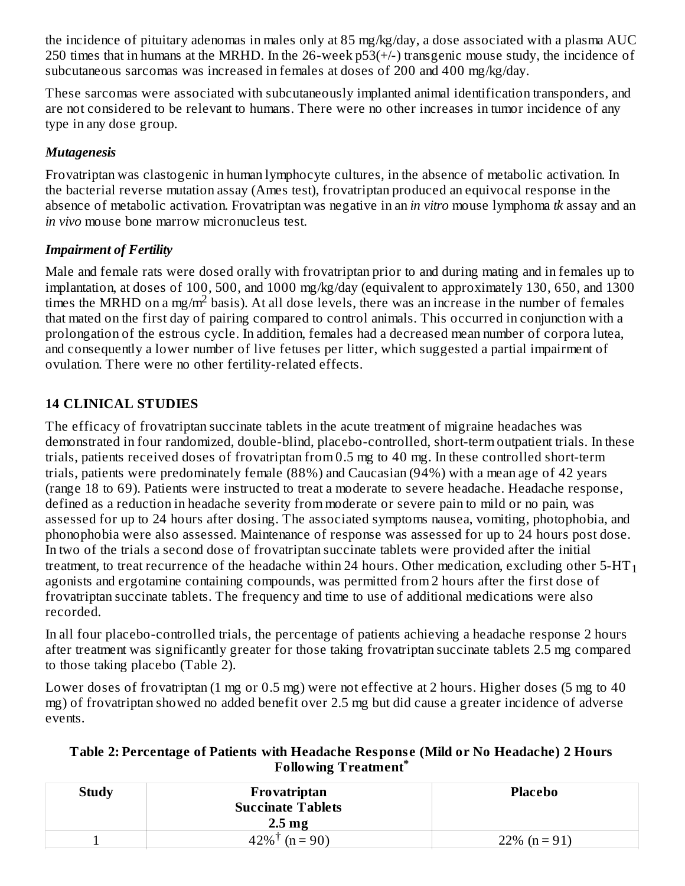the incidence of pituitary adenomas in males only at 85 mg/kg/day, a dose associated with a plasma AUC 250 times that in humans at the MRHD. In the 26-week p53(+/-) transgenic mouse study, the incidence of subcutaneous sarcomas was increased in females at doses of 200 and 400 mg/kg/day.

These sarcomas were associated with subcutaneously implanted animal identification transponders, and are not considered to be relevant to humans. There were no other increases in tumor incidence of any type in any dose group.

#### *Mutagenesis*

Frovatriptan was clastogenic in human lymphocyte cultures, in the absence of metabolic activation. In the bacterial reverse mutation assay (Ames test), frovatriptan produced an equivocal response in the absence of metabolic activation. Frovatriptan was negative in an *in vitro* mouse lymphoma *tk* assay and an *in vivo* mouse bone marrow micronucleus test.

#### *Impairment of Fertility*

Male and female rats were dosed orally with frovatriptan prior to and during mating and in females up to implantation, at doses of 100, 500, and 1000 mg/kg/day (equivalent to approximately 130, 650, and 1300 times the MRHD on a mg/m<sup>2</sup> basis). At all dose levels, there was an increase in the number of females that mated on the first day of pairing compared to control animals. This occurred in conjunction with a prolongation of the estrous cycle. In addition, females had a decreased mean number of corpora lutea, and consequently a lower number of live fetuses per litter, which suggested a partial impairment of ovulation. There were no other fertility-related effects.

### **14 CLINICAL STUDIES**

The efficacy of frovatriptan succinate tablets in the acute treatment of migraine headaches was demonstrated in four randomized, double-blind, placebo-controlled, short-term outpatient trials. In these trials, patients received doses of frovatriptan from 0.5 mg to 40 mg. In these controlled short-term trials, patients were predominately female (88%) and Caucasian (94%) with a mean age of 42 years (range 18 to 69). Patients were instructed to treat a moderate to severe headache. Headache response, defined as a reduction in headache severity from moderate or severe pain to mild or no pain, was assessed for up to 24 hours after dosing. The associated symptoms nausea, vomiting, photophobia, and phonophobia were also assessed. Maintenance of response was assessed for up to 24 hours post dose. In two of the trials a second dose of frovatriptan succinate tablets were provided after the initial treatment, to treat recurrence of the headache within 24 hours. Other medication, excluding other 5-HT  $_{\rm 1}$ agonists and ergotamine containing compounds, was permitted from 2 hours after the first dose of frovatriptan succinate tablets. The frequency and time to use of additional medications were also recorded.

In all four placebo-controlled trials, the percentage of patients achieving a headache response 2 hours after treatment was significantly greater for those taking frovatriptan succinate tablets 2.5 mg compared to those taking placebo (Table 2).

Lower doses of frovatriptan (1 mg or 0.5 mg) were not effective at 2 hours. Higher doses (5 mg to 40 mg) of frovatriptan showed no added benefit over 2.5 mg but did cause a greater incidence of adverse events.

#### **Table 2: Percentage of Patients with Headache Respons e (Mild or No Headache) 2 Hours Following Treatment \***

| <b>Study</b> | Frovatriptan                 | <b>Placebo</b>  |  |
|--------------|------------------------------|-----------------|--|
|              | <b>Succinate Tablets</b>     |                 |  |
|              | $2.5 \text{ mg}$             |                 |  |
|              | $42\%$ <sup>†</sup> (n = 90) | $22\%$ (n = 91) |  |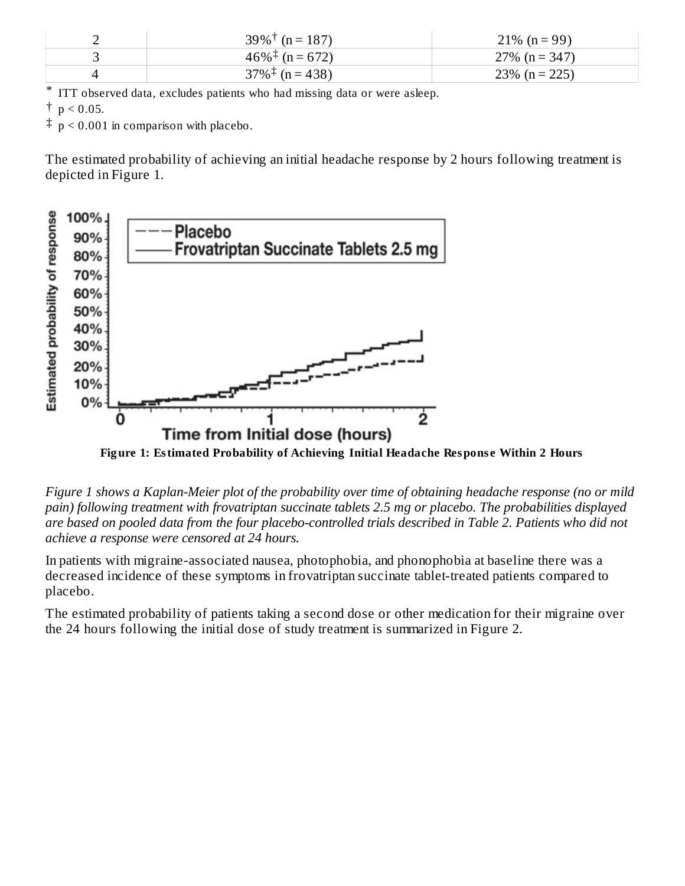|   | $39\%$ <sup>†</sup> (n = 187) | $21\%$ (n = 99)  |
|---|-------------------------------|------------------|
| ັ | $46\%^{\ddagger}$ (n = 672)   | $27\%$ (n = 347) |
|   | $37\%^{\ddagger}$ (n = 438)   | $23\%$ (n = 225) |

\* ITT observed data, excludes patients who had missing data or were asleep.

 $\dagger$  p < 0.05.

 $\ddagger$  p < 0.001 in comparison with placebo.

The estimated probability of achieving an initial headache response by 2 hours following treatment is depicted in Figure 1.



Figure 1 shows a Kaplan-Meier plot of the probability over time of obtaining headache response (no or mild *pain) following treatment with frovatriptan succinate tablets 2.5 mg or placebo. The probabilities displayed* are based on pooled data from the four placebo-controlled trials described in Table 2. Patients who did not *achieve a response were censored at 24 hours.*

In patients with migraine-associated nausea, photophobia, and phonophobia at baseline there was a decreased incidence of these symptoms in frovatriptan succinate tablet-treated patients compared to placebo.

The estimated probability of patients taking a second dose or other medication for their migraine over the 24 hours following the initial dose of study treatment is summarized in Figure 2.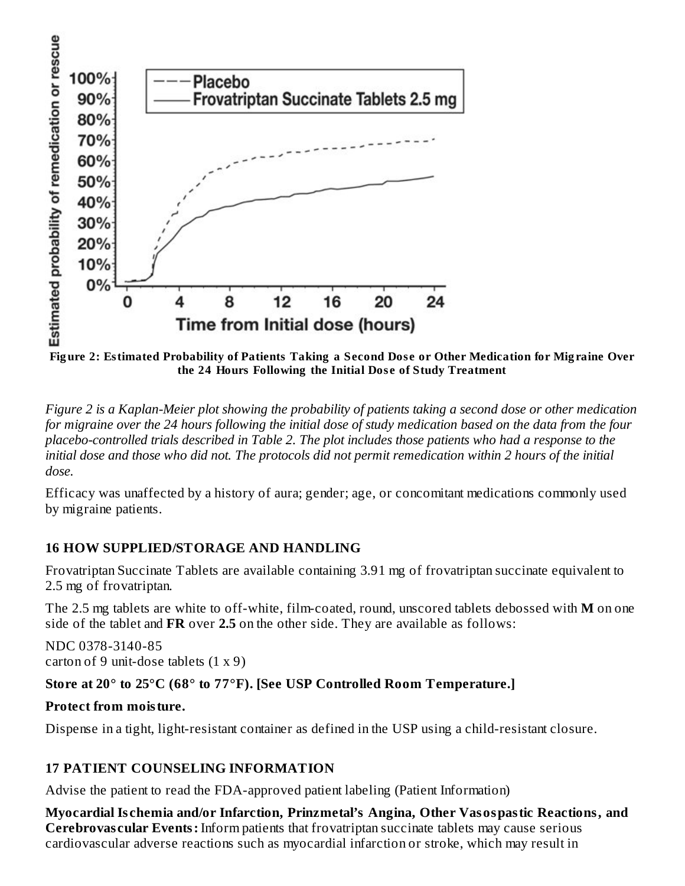

Figure 2: Estimated Probability of Patients Taking a Second Dose or Other Medication for Migraine Over **the 24 Hours Following the Initial Dos e of Study Treatment**

Figure 2 is a Kaplan-Meier plot showing the probability of patients taking a second dose or other medication for migraine over the 24 hours following the initial dose of study medication based on the data from the four placebo-controlled trials described in Table 2. The plot includes those patients who had a response to the initial dose and those who did not. The protocols did not permit remedication within 2 hours of the initial *dose.*

Efficacy was unaffected by a history of aura; gender; age, or concomitant medications commonly used by migraine patients.

### **16 HOW SUPPLIED/STORAGE AND HANDLING**

Frovatriptan Succinate Tablets are available containing 3.91 mg of frovatriptan succinate equivalent to 2.5 mg of frovatriptan.

The 2.5 mg tablets are white to off-white, film-coated, round, unscored tablets debossed with **M** on one side of the tablet and **FR** over **2.5** on the other side. They are available as follows:

NDC 0378-3140-85 carton of 9 unit-dose tablets  $(1 \times 9)$ 

### **Store at 20° to 25°C (68° to 77°F). [See USP Controlled Room Temperature.]**

#### **Protect from moisture.**

Dispense in a tight, light-resistant container as defined in the USP using a child-resistant closure.

#### **17 PATIENT COUNSELING INFORMATION**

Advise the patient to read the FDA-approved patient labeling (Patient Information)

**Myocardial Is chemia and/or Infarction, Prinzmetal's Angina, Other Vasospastic Reactions, and Cerebrovas cular Events:** Inform patients that frovatriptan succinate tablets may cause serious cardiovascular adverse reactions such as myocardial infarction or stroke, which may result in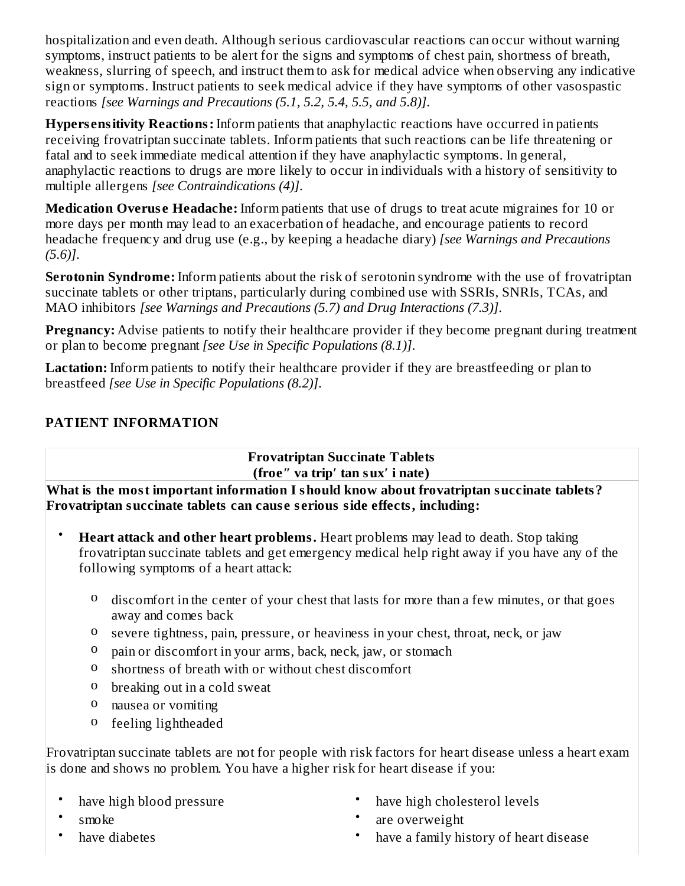hospitalization and even death. Although serious cardiovascular reactions can occur without warning symptoms, instruct patients to be alert for the signs and symptoms of chest pain, shortness of breath, weakness, slurring of speech, and instruct them to ask for medical advice when observing any indicative sign or symptoms. Instruct patients to seek medical advice if they have symptoms of other vasospastic reactions *[see Warnings and Precautions (5.1, 5.2, 5.4, 5.5, and 5.8)]*.

**Hypers ensitivity Reactions:** Inform patients that anaphylactic reactions have occurred in patients receiving frovatriptan succinate tablets. Inform patients that such reactions can be life threatening or fatal and to seek immediate medical attention if they have anaphylactic symptoms. In general, anaphylactic reactions to drugs are more likely to occur in individuals with a history of sensitivity to multiple allergens *[see Contraindications (4)]*.

**Medication Overuse Headache:** Inform patients that use of drugs to treat acute migraines for 10 or more days per month may lead to an exacerbation of headache, and encourage patients to record headache frequency and drug use (e.g., by keeping a headache diary) *[see Warnings and Precautions (5.6)]*.

**Serotonin Syndrome:** Inform patients about the risk of serotonin syndrome with the use of frovatriptan succinate tablets or other triptans, particularly during combined use with SSRIs, SNRIs, TCAs, and MAO inhibitors *[see Warnings and Precautions (5.7) and Drug Interactions (7.3)]*.

**Pregnancy:** Advise patients to notify their healthcare provider if they become pregnant during treatment or plan to become pregnant *[see Use in Specific Populations (8.1)]*.

**Lactation:** Inform patients to notify their healthcare provider if they are breastfeeding or plan to breastfeed *[see Use in Specific Populations (8.2)]*.

### **PATIENT INFORMATION**

**Frovatriptan Succinate Tablets (froe″ va trip′ tan sux′ i nate)**

**What is the most important information I should know about frovatriptan succinate tablets? Frovatriptan succinate tablets can caus e s erious side effects, including:**

- **Heart attack and other heart problems.** Heart problems may lead to death. Stop taking frovatriptan succinate tablets and get emergency medical help right away if you have any of the following symptoms of a heart attack:
	- <sup>o</sup> discomfort in the center of your chest that lasts for more than a few minutes, or that goes away and comes back
	- o severe tightness, pain, pressure, or heaviness in your chest, throat, neck, or jaw
	- o pain or discomfort in your arms, back, neck, jaw, or stomach
	- o shortness of breath with or without chest discomfort
	- o breaking out in a cold sweat
	- o nausea or vomiting
	- o feeling lightheaded

Frovatriptan succinate tablets are not for people with risk factors for heart disease unless a heart exam is done and shows no problem. You have a higher risk for heart disease if you:

- have high blood pressure
- smoke
- have diabetes
- have high cholesterol levels
- are overweight
- have a family history of heart disease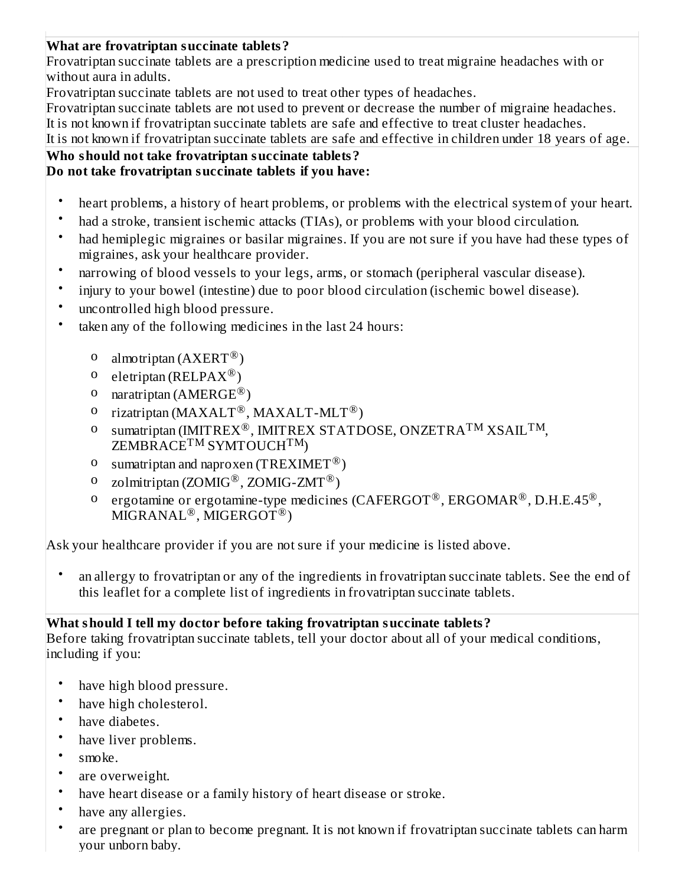#### **What are frovatriptan succinate tablets?**

Frovatriptan succinate tablets are a prescription medicine used to treat migraine headaches with or without aura in adults.

Frovatriptan succinate tablets are not used to treat other types of headaches.

Frovatriptan succinate tablets are not used to prevent or decrease the number of migraine headaches. It is not known if frovatriptan succinate tablets are safe and effective to treat cluster headaches. It is not known if frovatriptan succinate tablets are safe and effective in children under 18 years of age.

# **Who should not take frovatriptan succinate tablets?**

### **Do not take frovatriptan succinate tablets if you have:**

- heart problems, a history of heart problems, or problems with the electrical system of your heart.
- had a stroke, transient ischemic attacks (TIAs), or problems with your blood circulation.
- had hemiplegic migraines or basilar migraines. If you are not sure if you have had these types of migraines, ask your healthcare provider.
- narrowing of blood vessels to your legs, arms, or stomach (peripheral vascular disease).
- injury to your bowel (intestine) due to poor blood circulation (ischemic bowel disease).
- uncontrolled high blood pressure.
- taken any of the following medicines in the last 24 hours:
	- o almotriptan  $(A X E R T^{\circledR})$
	- $^{\circ}$  eletriptan (RELPAX $^{\circledR}$ )
	- o naratriptan (AMERGE<sup>®</sup>)
	- o rizatriptan (MAXALT<sup>®</sup>, MAXALT-MLT<sup>®</sup>)
	- o sumatriptan (IMITREX®, IMITREX STATDOSE, ONZETRA $^{\text{TM}}$ XSAIL $^{\text{TM}},$  $\mathsf{ZEMBRACE}^{\mathsf{TM}}$  SYMTOUCH $^{\mathsf{TM}}$ )  $\textsuperscript{\textregistered}$  IMITREX STATDOSE ONZETRATM XSAILTM TM SYMTOUCH<sup>TM</sup>)
	- o sumatriptan and naproxen (TREXIMET®)
	- o zolmitriptan (ZOMIG $^{\circledR}$ , ZOMIG-ZMT $^{\circledR}$ )
	- o ergotamine or ergotamine-type medicines (CAFERGOT®, ERGOMAR®, D.H.E.45®,  $MIGRANAL^@$ , MIGERGOT<sup>®</sup>)

Ask your healthcare provider if you are not sure if your medicine is listed above.

• an allergy to frovatriptan or any of the ingredients in frovatriptan succinate tablets. See the end of this leaflet for a complete list of ingredients in frovatriptan succinate tablets.

#### **What should I tell my doctor before taking frovatriptan succinate tablets?**

Before taking frovatriptan succinate tablets, tell your doctor about all of your medical conditions, including if you:

- have high blood pressure.
- have high cholesterol.
- have diabetes.
- have liver problems.
- smoke.
- are overweight.
- have heart disease or a family history of heart disease or stroke.
- have any allergies.
- are pregnant or plan to become pregnant. It is not known if frovatriptan succinate tablets can harm your unborn baby.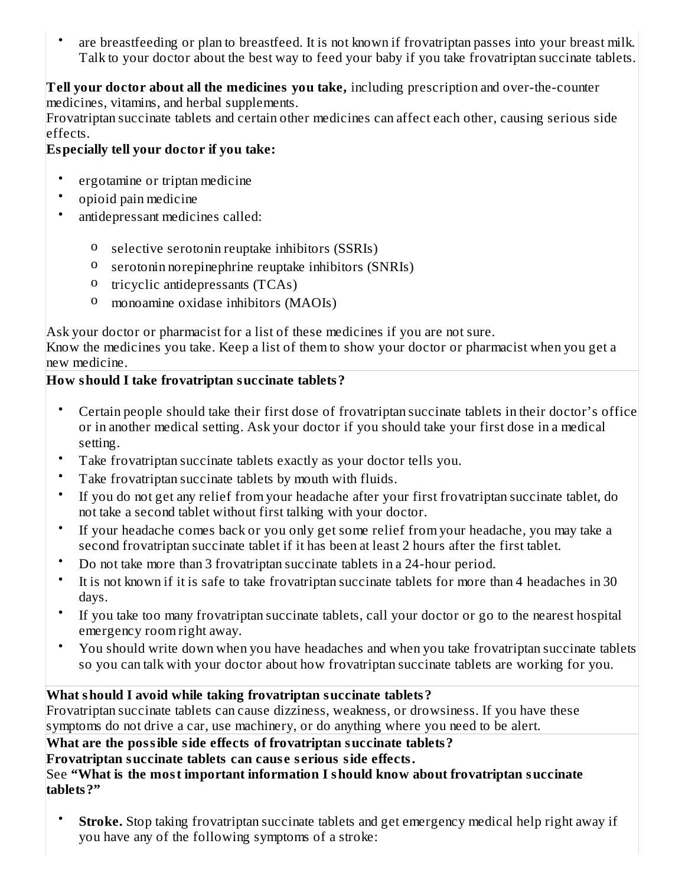• are breastfeeding or plan to breastfeed. It is not known if frovatriptan passes into your breast milk. Talk to your doctor about the best way to feed your baby if you take frovatriptan succinate tablets.

**Tell your doctor about all the medicines you take,** including prescription and over-the-counter medicines, vitamins, and herbal supplements.

Frovatriptan succinate tablets and certain other medicines can affect each other, causing serious side effects.

### **Especially tell your doctor if you take:**

- ergotamine or triptan medicine
- opioid pain medicine
- antidepressant medicines called:
	- o selective serotonin reuptake inhibitors (SSRIs)
	- o serotonin norepinephrine reuptake inhibitors (SNRIs)
	- o tricyclic antidepressants (TCAs)
	- o monoamine oxidase inhibitors (MAOIs)

Ask your doctor or pharmacist for a list of these medicines if you are not sure.

Know the medicines you take. Keep a list of them to show your doctor or pharmacist when you get a new medicine.

### **How should I take frovatriptan succinate tablets?**

- Certain people should take their first dose of frovatriptan succinate tablets in their doctor's office or in another medical setting. Ask your doctor if you should take your first dose in a medical setting.
- Take frovatriptan succinate tablets exactly as your doctor tells you.
- Take frovatriptan succinate tablets by mouth with fluids.
- If you do not get any relief from your headache after your first frovatriptan succinate tablet, do not take a second tablet without first talking with your doctor.
- If your headache comes back or you only get some relief from your headache, you may take a second frovatriptan succinate tablet if it has been at least 2 hours after the first tablet.
- Do not take more than 3 frovatriptan succinate tablets in a 24-hour period.
- It is not known if it is safe to take frovatriptan succinate tablets for more than 4 headaches in 30 days.
- If you take too many frovatriptan succinate tablets, call your doctor or go to the nearest hospital emergency room right away.
- You should write down when you have headaches and when you take frovatriptan succinate tablets so you can talk with your doctor about how frovatriptan succinate tablets are working for you.

### **What should I avoid while taking frovatriptan succinate tablets?**

Frovatriptan succinate tablets can cause dizziness, weakness, or drowsiness. If you have these symptoms do not drive a car, use machinery, or do anything where you need to be alert.

## **What are the possible side effects of frovatriptan succinate tablets?**

**Frovatriptan succinate tablets can caus e s erious side effects.**

#### See **"What is the most important information I should know about frovatriptan succinate tablets?"**

• **Stroke.** Stop taking frovatriptan succinate tablets and get emergency medical help right away if you have any of the following symptoms of a stroke: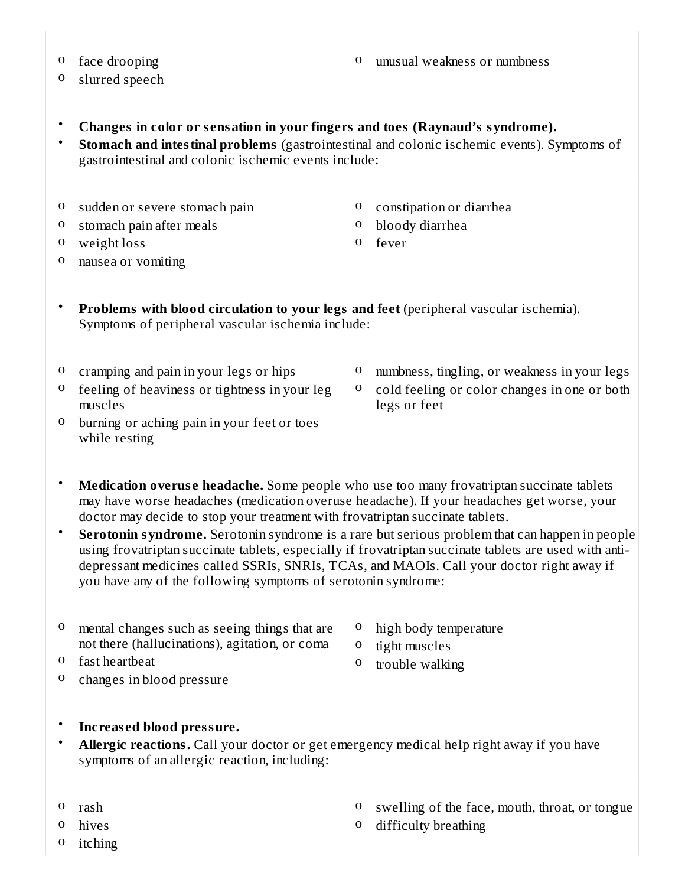o face drooping o unusual weakness or numbness

- o slurred speech
- **Changes in color or s ensation in your fingers and toes (Raynaud's syndrome).**
- **Stomach and intestinal problems** (gastrointestinal and colonic ischemic events). Symptoms of gastrointestinal and colonic ischemic events include:
- o sudden or severe stomach pain
- o stomach pain after meals
- o weight loss
- o nausea or vomiting
- o constipation or diarrhea
- o bloody diarrhea
- o fever
- **Problems with blood circulation to your legs and feet** (peripheral vascular ischemia). Symptoms of peripheral vascular ischemia include:
- o cramping and pain in your legs or hips
- o numbness, tingling, or weakness in your legs
- o feeling of heaviness or tightness in your leg muscles
- o cold feeling or color changes in one or both legs or feet
- o burning or aching pain in your feet or toes while resting
- **Medication overuse headache.** Some people who use too many frovatriptan succinate tablets may have worse headaches (medication overuse headache). If your headaches get worse, your doctor may decide to stop your treatment with frovatriptan succinate tablets.
- **Serotonin syndrome.** Serotonin syndrome is a rare but serious problem that can happen in people using frovatriptan succinate tablets, especially if frovatriptan succinate tablets are used with antidepressant medicines called SSRIs, SNRIs, TCAs, and MAOIs. Call your doctor right away if you have any of the following symptoms of serotonin syndrome:
- o mental changes such as seeing things that are not there (hallucinations), agitation, or coma
- o fast heartbeat
- o changes in blood pressure
- **Increas ed blood pressure.**
- **Allergic reactions.** Call your doctor or get emergency medical help right away if you have symptoms of an allergic reaction, including:
- o rash
- o hives
- o itching
- o swelling of the face, mouth, throat, or tongue
- o difficulty breathing
- o high body temperature
- o tight muscles
- o trouble walking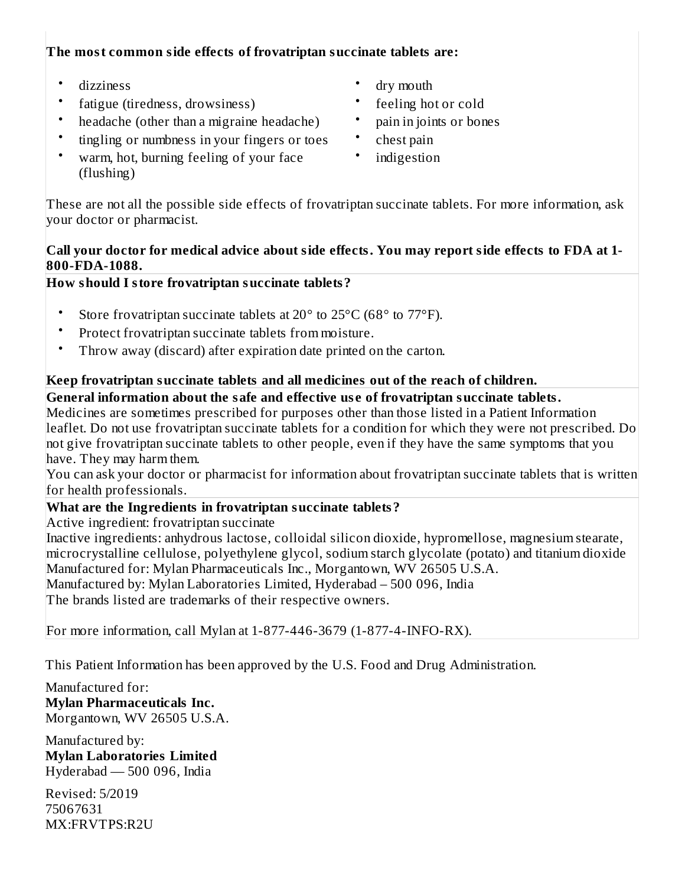### **The most common side effects of frovatriptan succinate tablets are:**

- dizziness
- fatigue (tiredness, drowsiness)
- headache (other than a migraine headache)
- tingling or numbness in your fingers or toes
- warm, hot, burning feeling of your face (flushing)
- dry mouth
- feeling hot or cold
- pain in joints or bones
- chest pain
- indigestion

These are not all the possible side effects of frovatriptan succinate tablets. For more information, ask your doctor or pharmacist.

#### **Call your doctor for medical advice about side effects. You may report side effects to FDA at 1- 800-FDA-1088.**

**How should I store frovatriptan succinate tablets?**

- Store frovatriptan succinate tablets at 20° to 25°C (68° to 77°F).
- Protect frovatriptan succinate tablets from moisture.
- Throw away (discard) after expiration date printed on the carton.

## **Keep frovatriptan succinate tablets and all medicines out of the reach of children.**

### **General information about the safe and effective us e of frovatriptan succinate tablets.**

Medicines are sometimes prescribed for purposes other than those listed in a Patient Information leaflet. Do not use frovatriptan succinate tablets for a condition for which they were not prescribed. Do not give frovatriptan succinate tablets to other people, even if they have the same symptoms that you have. They may harm them.

You can ask your doctor or pharmacist for information about frovatriptan succinate tablets that is written for health professionals.

### **What are the Ingredients in frovatriptan succinate tablets?**

Active ingredient: frovatriptan succinate

Inactive ingredients: anhydrous lactose, colloidal silicon dioxide, hypromellose, magnesium stearate, microcrystalline cellulose, polyethylene glycol, sodium starch glycolate (potato) and titanium dioxide Manufactured for: Mylan Pharmaceuticals Inc., Morgantown, WV 26505 U.S.A. Manufactured by: Mylan Laboratories Limited, Hyderabad – 500 096, India The brands listed are trademarks of their respective owners.

For more information, call Mylan at 1-877-446-3679 (1-877-4-INFO-RX).

This Patient Information has been approved by the U.S. Food and Drug Administration.

Manufactured for: **Mylan Pharmaceuticals Inc.** Morgantown, WV 26505 U.S.A.

Manufactured by: **Mylan Laboratories Limited** Hyderabad — 500 096, India

Revised: 5/2019 75067631 MX:FRVTPS:R2U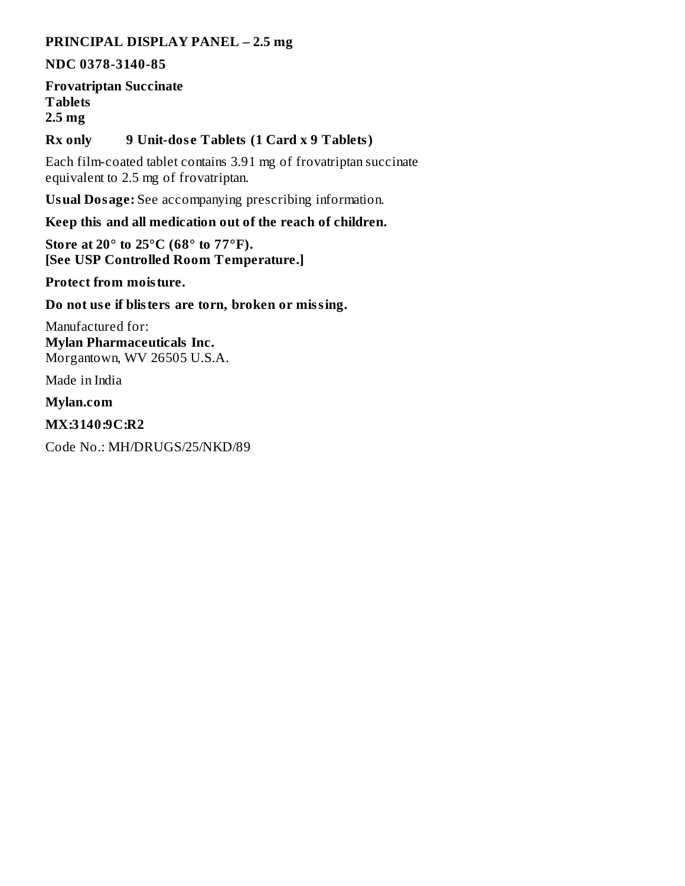#### **PRINCIPAL DISPLAY PANEL – 2.5 mg**

**NDC 0378-3140-85**

**Frovatriptan Succinate Tablets 2.5 mg**

**Rx only 9 Unit-dos e Tablets (1 Card x 9 Tablets)**

Each film-coated tablet contains 3.91 mg of frovatriptan succinate equivalent to 2.5 mg of frovatriptan.

**Usual Dosage:** See accompanying prescribing information.

**Keep this and all medication out of the reach of children.**

**Store at 20° to 25°C (68° to 77°F). [See USP Controlled Room Temperature.]**

**Protect from moisture.**

**Do not us e if blisters are torn, broken or missing.**

Manufactured for: **Mylan Pharmaceuticals Inc.** Morgantown, WV 26505 U.S.A.

Made in India

**Mylan.com**

**MX:3140:9C:R2**

Code No.: MH/DRUGS/25/NKD/89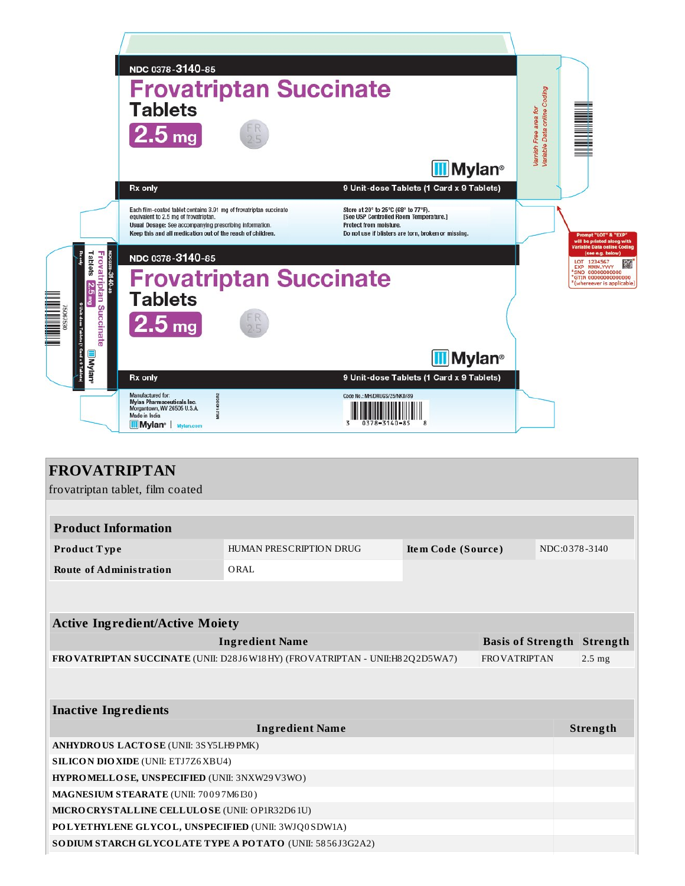|                                                                                                                                                                                                                                                                                                                                                                                                                                         | NDC 0378-3140-85                                                                                                                                                                                                                     |                                                                                                                                                                       |                                                                                         |
|-----------------------------------------------------------------------------------------------------------------------------------------------------------------------------------------------------------------------------------------------------------------------------------------------------------------------------------------------------------------------------------------------------------------------------------------|--------------------------------------------------------------------------------------------------------------------------------------------------------------------------------------------------------------------------------------|-----------------------------------------------------------------------------------------------------------------------------------------------------------------------|-----------------------------------------------------------------------------------------|
|                                                                                                                                                                                                                                                                                                                                                                                                                                         | <b>Frovatriptan Succinate</b>                                                                                                                                                                                                        |                                                                                                                                                                       |                                                                                         |
|                                                                                                                                                                                                                                                                                                                                                                                                                                         | <b>Tablets</b>                                                                                                                                                                                                                       |                                                                                                                                                                       |                                                                                         |
|                                                                                                                                                                                                                                                                                                                                                                                                                                         | 2.5 <sub>mg</sub>                                                                                                                                                                                                                    |                                                                                                                                                                       | Variable Data online Coding<br>Varnish Free area for                                    |
|                                                                                                                                                                                                                                                                                                                                                                                                                                         |                                                                                                                                                                                                                                      | <b>III</b> Mylan <sup>®</sup>                                                                                                                                         |                                                                                         |
|                                                                                                                                                                                                                                                                                                                                                                                                                                         | <b>Rx only</b>                                                                                                                                                                                                                       | 9 Unit-dose Tablets (1 Card x 9 Tablets)                                                                                                                              |                                                                                         |
|                                                                                                                                                                                                                                                                                                                                                                                                                                         | Each film-coated tablet contains 3.91 mg of frovatriptan succinate<br>equivalent to 2.5 mg of frovatriptan.<br>Usual Dosage: See accompanying prescribing information.<br>Keep this and all medication out of the reach of children. | Store at 20° to 25°C (68° to 77°F).<br>[See USP Controlled Room Temperature.]<br><b>Protect from moisture.</b><br>Do not use if blisters are torn, broken or missing. | Prompt "LOT" & "EXP'<br>will be printed along with                                      |
| Tablets                                                                                                                                                                                                                                                                                                                                                                                                                                 | NDC 0378-3140-85                                                                                                                                                                                                                     |                                                                                                                                                                       | <b>Variable Data online Coding</b><br>(see e.g. below)<br>LOT 1234567                   |
| мосозга-3140-as                                                                                                                                                                                                                                                                                                                                                                                                                         | <b>Frovatriptan Succinate</b>                                                                                                                                                                                                        |                                                                                                                                                                       | EXP MMM. YYYY<br>*SNO 00000000000<br>*GTIN 00000000000000<br>*(whereever is applicable) |
| 2.5 mg                                                                                                                                                                                                                                                                                                                                                                                                                                  | <b>Tablets</b>                                                                                                                                                                                                                       |                                                                                                                                                                       |                                                                                         |
| Frovatriptan Succinate<br>$\begin{tabular}{ c c c c } \hline \quad \quad & \quad \quad & \quad \quad & \quad \quad & \quad \quad \\ \hline \quad \quad & \quad \quad & \quad \quad & \quad \quad & \quad \quad \\ \hline \quad \quad & \quad \quad & \quad \quad & \quad \quad \\ \hline \quad \quad & \quad \quad & \quad \quad & \quad \quad \\ \hline \quad \quad & \quad \quad & \quad \quad & \quad \quad \\ \hline \end{tabular}$ | 2.5 <sub>mg</sub>                                                                                                                                                                                                                    |                                                                                                                                                                       |                                                                                         |
| ts (1 Card x 9 Tab<br><b>Mylan</b>                                                                                                                                                                                                                                                                                                                                                                                                      |                                                                                                                                                                                                                                      | <b>III</b> Mylan <sup>®</sup>                                                                                                                                         |                                                                                         |
|                                                                                                                                                                                                                                                                                                                                                                                                                                         | <b>Rx only</b>                                                                                                                                                                                                                       | 9 Unit-dose Tablets (1 Card x 9 Tablets)                                                                                                                              |                                                                                         |
|                                                                                                                                                                                                                                                                                                                                                                                                                                         | Manufactured for:<br>40:90:R<br>Mylan Pharmaceuticals Inc.<br>Morgantown, WV 26505 U.S.A.<br>$\overline{0}$<br>Made in India<br>$\blacksquare$ Mylan <sup>®</sup><br>Mylan.com                                                       | Code No.: MH/DRUGS/25/NKD/89<br>0378-3140-85                                                                                                                          |                                                                                         |

| <b>FROVATRIPTAN</b>                                                                               |                         |                    |                                   |                   |                 |
|---------------------------------------------------------------------------------------------------|-------------------------|--------------------|-----------------------------------|-------------------|-----------------|
| frovatriptan tablet, film coated                                                                  |                         |                    |                                   |                   |                 |
|                                                                                                   |                         |                    |                                   |                   |                 |
| <b>Product Information</b>                                                                        |                         |                    |                                   |                   |                 |
| Product Type                                                                                      | HUMAN PRESCRIPTION DRUG | Item Code (Source) |                                   | NDC:0378-3140     |                 |
| <b>Route of Administration</b>                                                                    | ORAL                    |                    |                                   |                   |                 |
|                                                                                                   |                         |                    |                                   |                   |                 |
|                                                                                                   |                         |                    |                                   |                   |                 |
| <b>Active Ingredient/Active Moiety</b>                                                            |                         |                    |                                   |                   |                 |
|                                                                                                   | <b>Ingredient Name</b>  |                    | <b>Basis of Strength Strength</b> |                   |                 |
| FROVATRIPTAN SUCCINATE (UNII: D28J6W18HY) (FROVATRIPTAN - UNII:H82Q2D5WA7)<br><b>FROVATRIPTAN</b> |                         |                    |                                   | 2.5 <sub>mg</sub> |                 |
|                                                                                                   |                         |                    |                                   |                   |                 |
| <b>Inactive Ingredients</b>                                                                       |                         |                    |                                   |                   |                 |
|                                                                                                   | <b>Ingredient Name</b>  |                    |                                   |                   | <b>Strength</b> |
| ANHYDROUS LACTOSE (UNII: 3SY5LH9 PMK)                                                             |                         |                    |                                   |                   |                 |
| <b>SILICON DIO XIDE (UNII: ETJ7Z6 XBU4)</b>                                                       |                         |                    |                                   |                   |                 |
| HYPROMELLOSE, UNSPECIFIED (UNII: 3NXW29V3WO)                                                      |                         |                    |                                   |                   |                 |
| MAGNESIUM STEARATE (UNII: 70097M6I30)                                                             |                         |                    |                                   |                   |                 |
| MICRO CRYSTALLINE CELLULO SE (UNII: OP1R32D61U)                                                   |                         |                    |                                   |                   |                 |
| POLYETHYLENE GLYCOL, UNSPECIFIED (UNII: 3WJQ0SDW1A)                                               |                         |                    |                                   |                   |                 |
| SODIUM STARCH GLYCOLATE TYPE A POTATO (UNII: 5856J3G2A2)                                          |                         |                    |                                   |                   |                 |